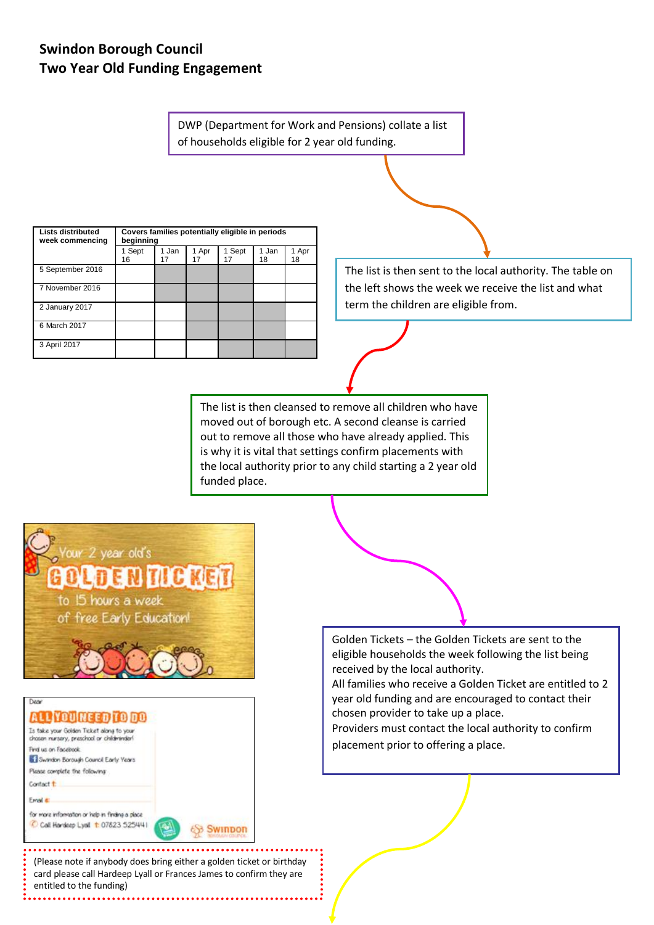## **Swindon Borough Council Two Year Old Funding Engagement**

DWP (Department for Work and Pensions) collate a list of households eligible for 2 year old funding.

| <b>Lists distributed</b><br>week commencing | Covers families potentially eligible in periods<br>beginning |             |             |              |             |             |
|---------------------------------------------|--------------------------------------------------------------|-------------|-------------|--------------|-------------|-------------|
|                                             | 1 Sept<br>16                                                 | 1 Jan<br>17 | 1 Apr<br>17 | 1 Sept<br>17 | 1 Jan<br>18 | 1 Apr<br>18 |
| 5 September 2016                            |                                                              |             |             |              |             |             |
| 7 November 2016                             |                                                              |             |             |              |             |             |
| 2 January 2017                              |                                                              |             |             |              |             |             |
| 6 March 2017                                |                                                              |             |             |              |             |             |
| 3 April 2017                                |                                                              |             |             |              |             |             |

The list is then sent to the local authority. The table on the left shows the week we receive the list and what term the children are eligible from.

The list is then cleansed to remove all children who have moved out of borough etc. A second cleanse is carried out to remove all those who have already applied. This is why it is vital that settings confirm placements with the local authority prior to any child starting a 2 year old funded place.



Golden Tickets – the Golden Tickets are sent to the eligible households the week following the list being received by the local authority.

All families who receive a Golden Ticket are entitled to 2 year old funding and are encouraged to contact their chosen provider to take up a place.

Providers must contact the local authority to confirm placement prior to offering a place.